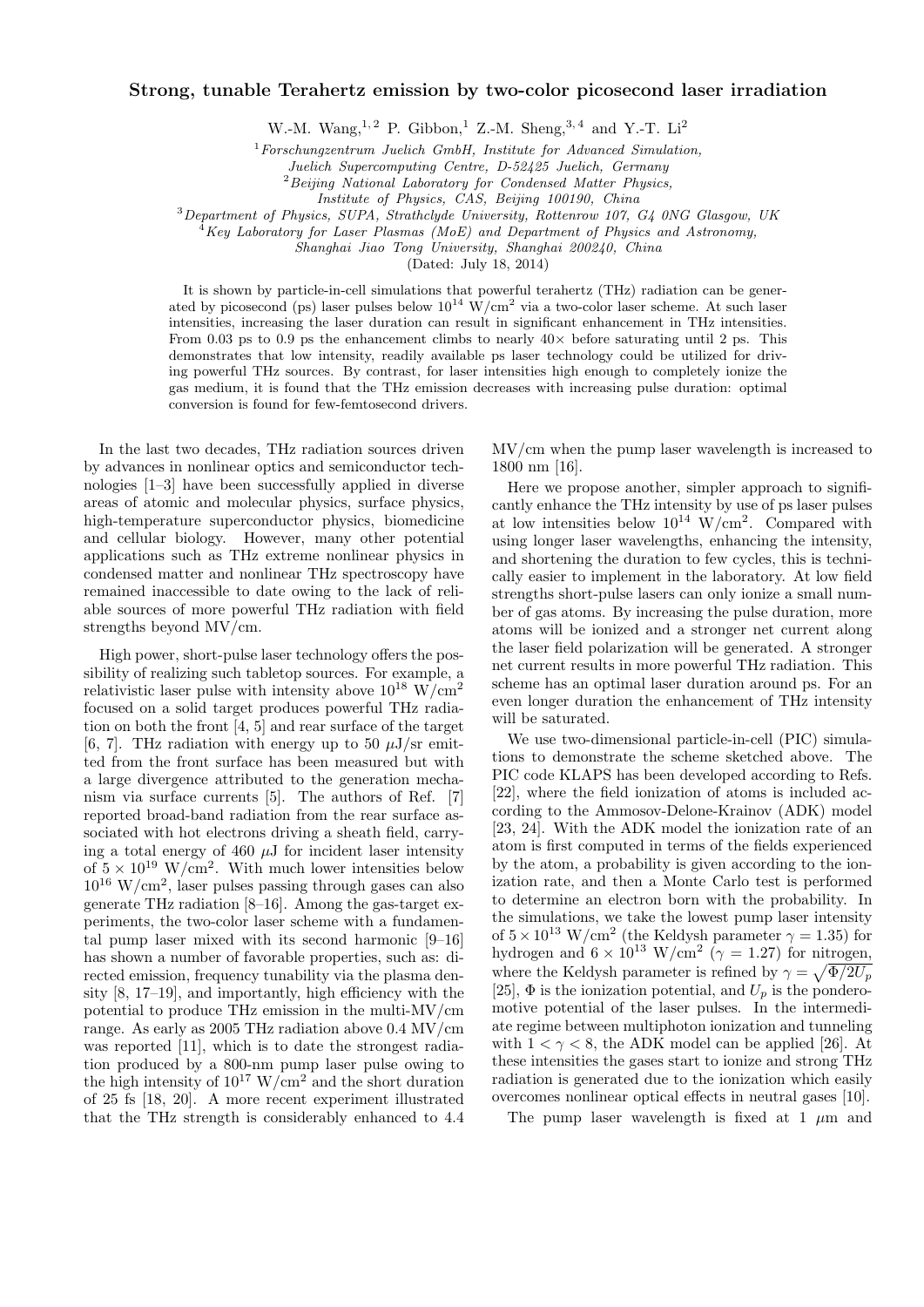## Strong, tunable Terahertz emission by two-color picosecond laser irradiation

W.-M. Wang,  $^{1,2}$  P. Gibbon,  $^{1}$  Z.-M. Sheng,  $^{3,4}$  and Y.-T. Li<sup>2</sup>

 $1$ Forschungzentrum Juelich GmbH, Institute for Advanced Simulation,

Juelich Supercomputing Centre, D-52425 Juelich, Germany

<sup>2</sup>Beijing National Laboratory for Condensed Matter Physics,

<sup>3</sup>Department of Physics, SUPA, Strathclyde University, Rottenrow 107, G4 0NG Glasgow, UK

 $^{4}$ Key Laboratory for Laser Plasmas (MoE) and Department of Physics and Astronomy,

Shanghai Jiao Tong University, Shanghai 200240, China

(Dated: July 18, 2014)

It is shown by particle-in-cell simulations that powerful terahertz (THz) radiation can be generated by picosecond (ps) laser pulses below  $10^{14}$  W/cm<sup>2</sup> via a two-color laser scheme. At such laser intensities, increasing the laser duration can result in significant enhancement in THz intensities. From 0.03 ps to 0.9 ps the enhancement climbs to nearly  $40\times$  before saturating until 2 ps. This demonstrates that low intensity, readily available ps laser technology could be utilized for driving powerful THz sources. By contrast, for laser intensities high enough to completely ionize the gas medium, it is found that the THz emission decreases with increasing pulse duration: optimal conversion is found for few-femtosecond drivers.

In the last two decades, THz radiation sources driven by advances in nonlinear optics and semiconductor technologies [1–3] have been successfully applied in diverse areas of atomic and molecular physics, surface physics, high-temperature superconductor physics, biomedicine and cellular biology. However, many other potential applications such as THz extreme nonlinear physics in condensed matter and nonlinear THz spectroscopy have remained inaccessible to date owing to the lack of reliable sources of more powerful THz radiation with field strengths beyond MV/cm.

High power, short-pulse laser technology offers the possibility of realizing such tabletop sources. For example, a relativistic laser pulse with intensity above  $10^{18}$  W/cm<sup>2</sup> focused on a solid target produces powerful THz radiation on both the front [4, 5] and rear surface of the target [6, 7]. THz radiation with energy up to 50  $\mu$ J/sr emitted from the front surface has been measured but with a large divergence attributed to the generation mechanism via surface currents [5]. The authors of Ref. [7] reported broad-band radiation from the rear surface associated with hot electrons driving a sheath field, carrying a total energy of 460  $\mu$ J for incident laser intensity of  $5 \times 10^{19}$  W/cm<sup>2</sup>. With much lower intensities below  $10^{16}$  W/cm<sup>2</sup>, laser pulses passing through gases can also generate THz radiation [8–16]. Among the gas-target experiments, the two-color laser scheme with a fundamental pump laser mixed with its second harmonic [9–16] has shown a number of favorable properties, such as: directed emission, frequency tunability via the plasma density [8, 17–19], and importantly, high efficiency with the potential to produce THz emission in the multi-MV/cm range. As early as 2005 THz radiation above 0.4 MV/cm was reported [11], which is to date the strongest radiation produced by a 800-nm pump laser pulse owing to the high intensity of  $10^{17}$  W/cm<sup>2</sup> and the short duration of 25 fs [18, 20]. A more recent experiment illustrated that the THz strength is considerably enhanced to 4.4

MV/cm when the pump laser wavelength is increased to 1800 nm [16].

Here we propose another, simpler approach to significantly enhance the THz intensity by use of ps laser pulses at low intensities below  $10^{14}$  W/cm<sup>2</sup>. Compared with using longer laser wavelengths, enhancing the intensity, and shortening the duration to few cycles, this is technically easier to implement in the laboratory. At low field strengths short-pulse lasers can only ionize a small number of gas atoms. By increasing the pulse duration, more atoms will be ionized and a stronger net current along the laser field polarization will be generated. A stronger net current results in more powerful THz radiation. This scheme has an optimal laser duration around ps. For an even longer duration the enhancement of THz intensity will be saturated.

We use two-dimensional particle-in-cell (PIC) simulations to demonstrate the scheme sketched above. The PIC code KLAPS has been developed according to Refs. [22], where the field ionization of atoms is included according to the Ammosov-Delone-Krainov (ADK) model [23, 24]. With the ADK model the ionization rate of an atom is first computed in terms of the fields experienced by the atom, a probability is given according to the ionization rate, and then a Monte Carlo test is performed to determine an electron born with the probability. In the simulations, we take the lowest pump laser intensity of  $5 \times 10^{13}$  W/cm<sup>2</sup> (the Keldysh parameter  $\gamma = 1.35$ ) for hydrogen and  $6 \times 10^{13} \text{ W/cm}^2$  ( $\gamma = 1.27$ ) for nitrogen, where the Keldysh parameter is refined by  $\gamma = \sqrt{\Phi/2U_p}$ [25],  $\Phi$  is the ionization potential, and  $U_p$  is the ponderomotive potential of the laser pulses. In the intermediate regime between multiphoton ionization and tunneling with  $1 < \gamma < 8$ , the ADK model can be applied [26]. At these intensities the gases start to ionize and strong THz radiation is generated due to the ionization which easily overcomes nonlinear optical effects in neutral gases [10].

The pump laser wavelength is fixed at 1  $\mu$ m and

Institute of Physics, CAS, Beijing 100190, China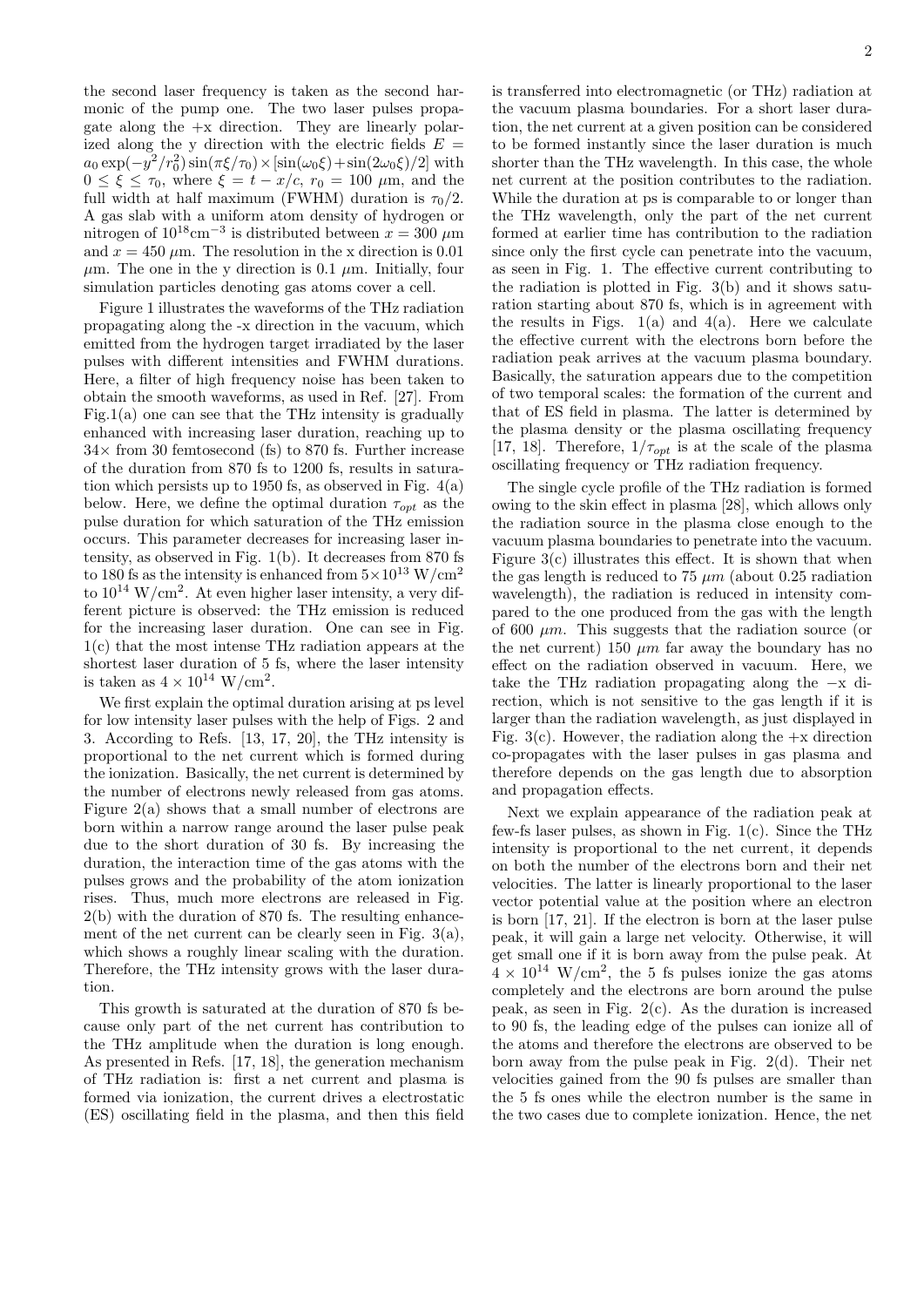the second laser frequency is taken as the second harmonic of the pump one. The two laser pulses propagate along the  $+x$  direction. They are linearly polarized along the y direction with the electric fields  $E =$  $a_0 \exp(-y^2/r_0^2) \sin(\pi \xi/\tau_0) \times [\sin(\omega_0 \xi) + \sin(2\omega_0 \xi)/2]$  with  $0 \leq \bar{\xi} \leq \tau_0$ , where  $\xi = t - x/c$ ,  $\tau_0 = 100 \mu m$ , and the full width at half maximum (FWHM) duration is  $\tau_0/2$ . A gas slab with a uniform atom density of hydrogen or nitrogen of  $10^{18}$ cm<sup>-3</sup> is distributed between  $x = 300 \ \mu m$ and  $x = 450 \mu \text{m}$ . The resolution in the x direction is 0.01  $\mu$ m. The one in the y direction is 0.1  $\mu$ m. Initially, four simulation particles denoting gas atoms cover a cell.

Figure 1 illustrates the waveforms of the THz radiation propagating along the -x direction in the vacuum, which emitted from the hydrogen target irradiated by the laser pulses with different intensities and FWHM durations. Here, a filter of high frequency noise has been taken to obtain the smooth waveforms, as used in Ref. [27]. From Fig.1(a) one can see that the THz intensity is gradually enhanced with increasing laser duration, reaching up to  $34\times$  from 30 femtosecond (fs) to 870 fs. Further increase of the duration from 870 fs to 1200 fs, results in saturation which persists up to 1950 fs, as observed in Fig. 4(a) below. Here, we define the optimal duration  $\tau_{\text{out}}$  as the pulse duration for which saturation of the THz emission occurs. This parameter decreases for increasing laser intensity, as observed in Fig. 1(b). It decreases from 870 fs to 180 fs as the intensity is enhanced from  $5 \times 10^{13}$  W/cm<sup>2</sup> to  $10^{14}$  W/cm<sup>2</sup>. At even higher laser intensity, a very different picture is observed: the THz emission is reduced for the increasing laser duration. One can see in Fig. 1(c) that the most intense THz radiation appears at the shortest laser duration of 5 fs, where the laser intensity is taken as  $4 \times 10^{14}$  W/cm<sup>2</sup>.

We first explain the optimal duration arising at ps level for low intensity laser pulses with the help of Figs. 2 and 3. According to Refs. [13, 17, 20], the THz intensity is proportional to the net current which is formed during the ionization. Basically, the net current is determined by the number of electrons newly released from gas atoms. Figure 2(a) shows that a small number of electrons are born within a narrow range around the laser pulse peak due to the short duration of 30 fs. By increasing the duration, the interaction time of the gas atoms with the pulses grows and the probability of the atom ionization rises. Thus, much more electrons are released in Fig. 2(b) with the duration of 870 fs. The resulting enhancement of the net current can be clearly seen in Fig.  $3(a)$ , which shows a roughly linear scaling with the duration. Therefore, the THz intensity grows with the laser duration.

This growth is saturated at the duration of 870 fs because only part of the net current has contribution to the THz amplitude when the duration is long enough. As presented in Refs. [17, 18], the generation mechanism of THz radiation is: first a net current and plasma is formed via ionization, the current drives a electrostatic (ES) oscillating field in the plasma, and then this field is transferred into electromagnetic (or THz) radiation at the vacuum plasma boundaries. For a short laser duration, the net current at a given position can be considered to be formed instantly since the laser duration is much shorter than the THz wavelength. In this case, the whole net current at the position contributes to the radiation. While the duration at ps is comparable to or longer than the THz wavelength, only the part of the net current formed at earlier time has contribution to the radiation since only the first cycle can penetrate into the vacuum, as seen in Fig. 1. The effective current contributing to the radiation is plotted in Fig. 3(b) and it shows saturation starting about 870 fs, which is in agreement with the results in Figs.  $1(a)$  and  $4(a)$ . Here we calculate the effective current with the electrons born before the radiation peak arrives at the vacuum plasma boundary. Basically, the saturation appears due to the competition of two temporal scales: the formation of the current and that of ES field in plasma. The latter is determined by the plasma density or the plasma oscillating frequency [17, 18]. Therefore,  $1/\tau_{opt}$  is at the scale of the plasma oscillating frequency or THz radiation frequency.

The single cycle profile of the THz radiation is formed owing to the skin effect in plasma [28], which allows only the radiation source in the plasma close enough to the vacuum plasma boundaries to penetrate into the vacuum. Figure  $3(c)$  illustrates this effect. It is shown that when the gas length is reduced to 75  $\mu$ m (about 0.25 radiation wavelength), the radiation is reduced in intensity compared to the one produced from the gas with the length of 600  $\mu$ m. This suggests that the radiation source (or the net current) 150  $\mu$ m far away the boundary has no effect on the radiation observed in vacuum. Here, we take the THz radiation propagating along the −x direction, which is not sensitive to the gas length if it is larger than the radiation wavelength, as just displayed in Fig. 3(c). However, the radiation along the  $+x$  direction co-propagates with the laser pulses in gas plasma and therefore depends on the gas length due to absorption and propagation effects.

Next we explain appearance of the radiation peak at few-fs laser pulses, as shown in Fig.  $1(c)$ . Since the THz intensity is proportional to the net current, it depends on both the number of the electrons born and their net velocities. The latter is linearly proportional to the laser vector potential value at the position where an electron is born [17, 21]. If the electron is born at the laser pulse peak, it will gain a large net velocity. Otherwise, it will get small one if it is born away from the pulse peak. At  $4 \times 10^{14}$  W/cm<sup>2</sup>, the 5 fs pulses ionize the gas atoms completely and the electrons are born around the pulse peak, as seen in Fig. 2(c). As the duration is increased to 90 fs, the leading edge of the pulses can ionize all of the atoms and therefore the electrons are observed to be born away from the pulse peak in Fig. 2(d). Their net velocities gained from the 90 fs pulses are smaller than the 5 fs ones while the electron number is the same in the two cases due to complete ionization. Hence, the net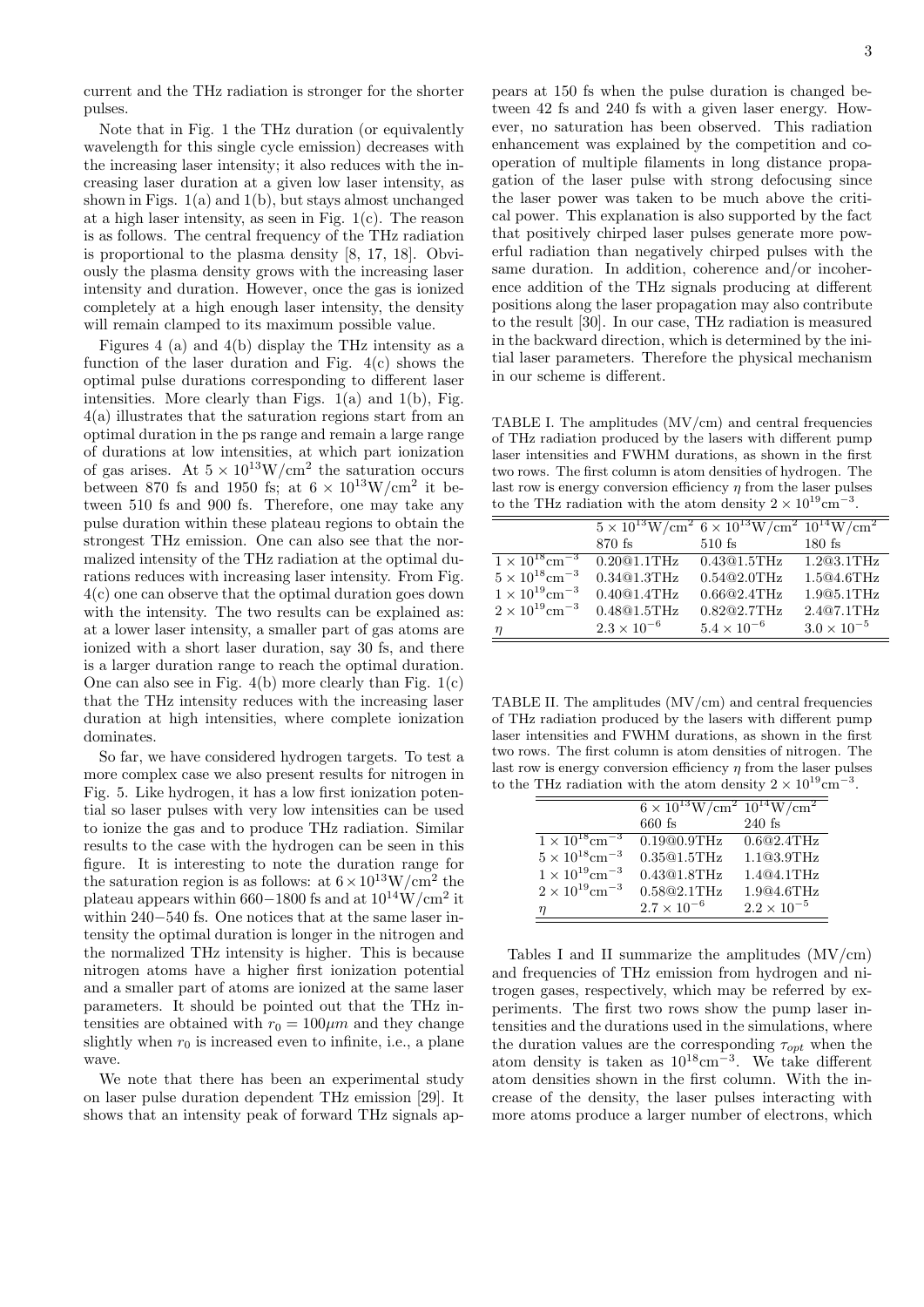current and the THz radiation is stronger for the shorter pulses.

Note that in Fig. 1 the THz duration (or equivalently wavelength for this single cycle emission) decreases with the increasing laser intensity; it also reduces with the increasing laser duration at a given low laser intensity, as shown in Figs. 1(a) and 1(b), but stays almost unchanged at a high laser intensity, as seen in Fig. 1(c). The reason is as follows. The central frequency of the THz radiation is proportional to the plasma density [8, 17, 18]. Obviously the plasma density grows with the increasing laser intensity and duration. However, once the gas is ionized completely at a high enough laser intensity, the density will remain clamped to its maximum possible value.

Figures 4 (a) and 4(b) display the THz intensity as a function of the laser duration and Fig.  $4(c)$  shows the optimal pulse durations corresponding to different laser intensities. More clearly than Figs.  $1(a)$  and  $1(b)$ , Fig. 4(a) illustrates that the saturation regions start from an optimal duration in the ps range and remain a large range of durations at low intensities, at which part ionization of gas arises. At  $5 \times 10^{13}$ W/cm<sup>2</sup> the saturation occurs between 870 fs and 1950 fs; at  $6 \times 10^{13}$ W/cm<sup>2</sup> it between 510 fs and 900 fs. Therefore, one may take any pulse duration within these plateau regions to obtain the strongest THz emission. One can also see that the normalized intensity of the THz radiation at the optimal durations reduces with increasing laser intensity. From Fig. 4(c) one can observe that the optimal duration goes down with the intensity. The two results can be explained as: at a lower laser intensity, a smaller part of gas atoms are ionized with a short laser duration, say 30 fs, and there is a larger duration range to reach the optimal duration. One can also see in Fig.  $4(b)$  more clearly than Fig.  $1(c)$ that the THz intensity reduces with the increasing laser duration at high intensities, where complete ionization dominates.

So far, we have considered hydrogen targets. To test a more complex case we also present results for nitrogen in Fig. 5. Like hydrogen, it has a low first ionization potential so laser pulses with very low intensities can be used to ionize the gas and to produce THz radiation. Similar results to the case with the hydrogen can be seen in this figure. It is interesting to note the duration range for the saturation region is as follows: at  $6 \times 10^{13}$ W/cm<sup>2</sup> the plateau appears within 660–1800 fs and at  $10^{14}$ W/cm<sup>2</sup> it within 240−540 fs. One notices that at the same laser intensity the optimal duration is longer in the nitrogen and the normalized THz intensity is higher. This is because nitrogen atoms have a higher first ionization potential and a smaller part of atoms are ionized at the same laser parameters. It should be pointed out that the THz intensities are obtained with  $r_0 = 100 \mu m$  and they change slightly when  $r_0$  is increased even to infinite, i.e., a plane wave.

We note that there has been an experimental study on laser pulse duration dependent THz emission [29]. It shows that an intensity peak of forward THz signals appears at 150 fs when the pulse duration is changed between 42 fs and 240 fs with a given laser energy. However, no saturation has been observed. This radiation enhancement was explained by the competition and cooperation of multiple filaments in long distance propagation of the laser pulse with strong defocusing since the laser power was taken to be much above the critical power. This explanation is also supported by the fact that positively chirped laser pulses generate more powerful radiation than negatively chirped pulses with the same duration. In addition, coherence and/or incoherence addition of the THz signals producing at different positions along the laser propagation may also contribute to the result [30]. In our case, THz radiation is measured in the backward direction, which is determined by the initial laser parameters. Therefore the physical mechanism in our scheme is different.

TABLE I. The amplitudes  $(MV/cm)$  and central frequencies of THz radiation produced by the lasers with different pump laser intensities and FWHM durations, as shown in the first two rows. The first column is atom densities of hydrogen. The last row is energy conversion efficiency  $\eta$  from the laser pulses to the THz radiation with the atom density  $2 \times 10^{19} \text{cm}^{-3}$ .

|                                     |                          | $5 \times 10^{13}$ W/cm <sup>2</sup> $6 \times 10^{13}$ W/cm <sup>2</sup> $10^{14}$ W/cm <sup>2</sup> |                      |
|-------------------------------------|--------------------------|-------------------------------------------------------------------------------------------------------|----------------------|
|                                     | 870 fs                   | $510$ fs                                                                                              | $180$ fs             |
| $1 \times 10^{18}$ cm <sup>-3</sup> | $\overline{0.20@1.1THz}$ | 0.43@1.5THz                                                                                           | 1.2@3.1THz           |
| $5 \times 10^{18}$ cm <sup>-3</sup> | 0.34@1.3THz              | 0.54@2.0THz                                                                                           | 1.5@4.6THz           |
| $1 \times 10^{19}$ cm <sup>-3</sup> | 0.40@1.4THz              | 0.66@2.4THz                                                                                           | 1.9@5.1THz           |
| $2 \times 10^{19}$ cm <sup>-3</sup> | 0.48@1.5THz              | 0.82@2.7THz                                                                                           | 2.4@7.1THz           |
|                                     | $2.3 \times 10^{-6}$     | $5.4 \times 10^{-6}$                                                                                  | $3.0 \times 10^{-5}$ |

TABLE II. The amplitudes (MV/cm) and central frequencies of THz radiation produced by the lasers with different pump laser intensities and FWHM durations, as shown in the first two rows. The first column is atom densities of nitrogen. The last row is energy conversion efficiency  $\eta$  from the laser pulses to the THz radiation with the atom density  $2 \times 10^{19} \text{cm}^{-3}$ .

|                                     | $6 \times 10^{13} W/cm^2 10^{14} W/cm^2$ |                      |
|-------------------------------------|------------------------------------------|----------------------|
|                                     | $660$ fs                                 | $240$ fs             |
| $1 \times 10^{18}$ cm <sup>-3</sup> | 0.19@0.9THz                              | 0.6@2.4THz           |
| $5\times10^{18} \rm{cm}^{-3}$       | 0.35@1.5THz                              | 1.1@3.9THz           |
| $1\times10^{19} \mathrm{cm}^{-3}$   | 0.43@1.8THz                              | 1.4@4.1THz           |
| $2\times10^{19} \mathrm{cm}^{-3}$   | 0.58@2.1THz                              | 1.904.6THz           |
|                                     | $2.7 \times 10^{-6}$                     | $2.2 \times 10^{-5}$ |

Tables I and II summarize the amplitudes  $(MV/cm)$ and frequencies of THz emission from hydrogen and nitrogen gases, respectively, which may be referred by experiments. The first two rows show the pump laser intensities and the durations used in the simulations, where the duration values are the corresponding  $\tau_{opt}$  when the atom density is taken as  $10^{18} \text{cm}^{-3}$ . We take different atom densities shown in the first column. With the increase of the density, the laser pulses interacting with more atoms produce a larger number of electrons, which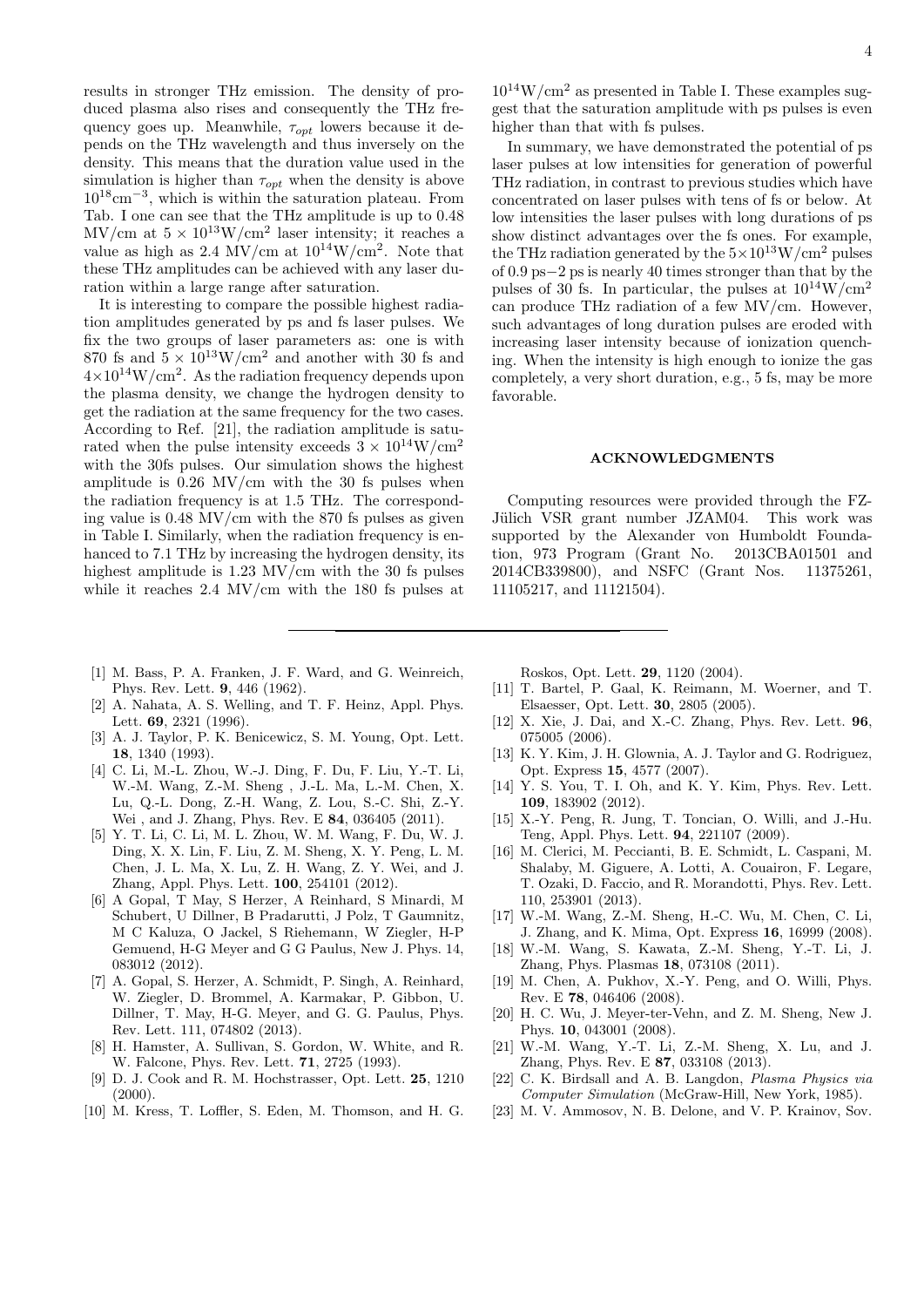results in stronger THz emission. The density of produced plasma also rises and consequently the THz frequency goes up. Meanwhile,  $\tau_{opt}$  lowers because it depends on the THz wavelength and thus inversely on the density. This means that the duration value used in the simulation is higher than  $\tau_{opt}$  when the density is above 10<sup>18</sup>cm<sup>−</sup><sup>3</sup> , which is within the saturation plateau. From Tab. I one can see that the THz amplitude is up to 0.48  $\rm MV/cm$  at  $5 \times 10^{13} W/cm^2$  laser intensity; it reaches a value as high as 2.4 MV/cm at  $10^{14}$ W/cm<sup>2</sup>. Note that these THz amplitudes can be achieved with any laser duration within a large range after saturation.

It is interesting to compare the possible highest radiation amplitudes generated by ps and fs laser pulses. We fix the two groups of laser parameters as: one is with 870 fs and  $5 \times 10^{13}$ W/cm<sup>2</sup> and another with 30 fs and  $4\times10^{14}$ W/cm<sup>2</sup>. As the radiation frequency depends upon the plasma density, we change the hydrogen density to get the radiation at the same frequency for the two cases. According to Ref. [21], the radiation amplitude is saturated when the pulse intensity exceeds  $3 \times 10^{14}$ W/cm<sup>2</sup> with the 30fs pulses. Our simulation shows the highest amplitude is  $0.26$  MV/cm with the 30 fs pulses when the radiation frequency is at 1.5 THz. The corresponding value is 0.48 MV/cm with the 870 fs pulses as given in Table I. Similarly, when the radiation frequency is enhanced to 7.1 THz by increasing the hydrogen density, its highest amplitude is 1.23 MV/cm with the 30 fs pulses while it reaches 2.4 MV/cm with the 180 fs pulses at  $10^{14}$ W/cm<sup>2</sup> as presented in Table I. These examples suggest that the saturation amplitude with ps pulses is even higher than that with fs pulses.

In summary, we have demonstrated the potential of ps laser pulses at low intensities for generation of powerful THz radiation, in contrast to previous studies which have concentrated on laser pulses with tens of fs or below. At low intensities the laser pulses with long durations of ps show distinct advantages over the fs ones. For example, the THz radiation generated by the  $5\times10^{13}$ W/cm<sup>2</sup> pulses of 0.9 ps−2 ps is nearly 40 times stronger than that by the pulses of 30 fs. In particular, the pulses at  $10^{14}$ W/cm<sup>2</sup> can produce THz radiation of a few MV/cm. However, such advantages of long duration pulses are eroded with increasing laser intensity because of ionization quenching. When the intensity is high enough to ionize the gas completely, a very short duration, e.g., 5 fs, may be more favorable.

## ACKNOWLEDGMENTS

Computing resources were provided through the FZ-Jülich VSR grant number JZAM04. This work was supported by the Alexander von Humboldt Foundation, 973 Program (Grant No. 2013CBA01501 and 2014CB339800), and NSFC (Grant Nos. 11375261, 11105217, and 11121504).

- [1] M. Bass, P. A. Franken, J. F. Ward, and G. Weinreich, Phys. Rev. Lett. 9, 446 (1962).
- [2] A. Nahata, A. S. Welling, and T. F. Heinz, Appl. Phys. Lett. 69, 2321 (1996).
- [3] A. J. Taylor, P. K. Benicewicz, S. M. Young, Opt. Lett. 18, 1340 (1993).
- [4] C. Li, M.-L. Zhou, W.-J. Ding, F. Du, F. Liu, Y.-T. Li, W.-M. Wang, Z.-M. Sheng , J.-L. Ma, L.-M. Chen, X. Lu, Q.-L. Dong, Z.-H. Wang, Z. Lou, S.-C. Shi, Z.-Y. Wei , and J. Zhang, Phys. Rev. E 84, 036405 (2011).
- [5] Y. T. Li, C. Li, M. L. Zhou, W. M. Wang, F. Du, W. J. Ding, X. X. Lin, F. Liu, Z. M. Sheng, X. Y. Peng, L. M. Chen, J. L. Ma, X. Lu, Z. H. Wang, Z. Y. Wei, and J. Zhang, Appl. Phys. Lett. 100, 254101 (2012).
- [6] A Gopal, T May, S Herzer, A Reinhard, S Minardi, M Schubert, U Dillner, B Pradarutti, J Polz, T Gaumnitz, M C Kaluza, O Jackel, S Riehemann, W Ziegler, H-P Gemuend, H-G Meyer and G G Paulus, New J. Phys. 14, 083012 (2012).
- [7] A. Gopal, S. Herzer, A. Schmidt, P. Singh, A. Reinhard, W. Ziegler, D. Brommel, A. Karmakar, P. Gibbon, U. Dillner, T. May, H-G. Meyer, and G. G. Paulus, Phys. Rev. Lett. 111, 074802 (2013).
- [8] H. Hamster, A. Sullivan, S. Gordon, W. White, and R. W. Falcone, Phys. Rev. Lett. 71, 2725 (1993).
- [9] D. J. Cook and R. M. Hochstrasser, Opt. Lett. 25, 1210  $(2000).$
- [10] M. Kress, T. Loffler, S. Eden, M. Thomson, and H. G.

Roskos, Opt. Lett. 29, 1120 (2004).

- [11] T. Bartel, P. Gaal, K. Reimann, M. Woerner, and T. Elsaesser, Opt. Lett. 30, 2805 (2005).
- [12] X. Xie, J. Dai, and X.-C. Zhang, Phys. Rev. Lett. 96, 075005 (2006).
- [13] K. Y. Kim, J. H. Glownia, A. J. Taylor and G. Rodriguez, Opt. Express 15, 4577 (2007).
- [14] Y. S. You, T. I. Oh, and K. Y. Kim, Phys. Rev. Lett. 109, 183902 (2012).
- [15] X.-Y. Peng, R. Jung, T. Toncian, O. Willi, and J.-Hu. Teng, Appl. Phys. Lett. 94, 221107 (2009).
- [16] M. Clerici, M. Peccianti, B. E. Schmidt, L. Caspani, M. Shalaby, M. Giguere, A. Lotti, A. Couairon, F. Legare, T. Ozaki, D. Faccio, and R. Morandotti, Phys. Rev. Lett. 110, 253901 (2013).
- [17] W.-M. Wang, Z.-M. Sheng, H.-C. Wu, M. Chen, C. Li, J. Zhang, and K. Mima, Opt. Express 16, 16999 (2008).
- [18] W.-M. Wang, S. Kawata, Z.-M. Sheng, Y.-T. Li, J. Zhang, Phys. Plasmas 18, 073108 (2011).
- [19] M. Chen, A. Pukhov, X.-Y. Peng, and O. Willi, Phys. Rev. E 78, 046406 (2008).
- [20] H. C. Wu, J. Meyer-ter-Vehn, and Z. M. Sheng, New J. Phys. 10, 043001 (2008).
- [21] W.-M. Wang, Y.-T. Li, Z.-M. Sheng, X. Lu, and J. Zhang, Phys. Rev. E 87, 033108 (2013).
- [22] C. K. Birdsall and A. B. Langdon, *Plasma Physics via* Computer Simulation (McGraw-Hill, New York, 1985).
- [23] M. V. Ammosov, N. B. Delone, and V. P. Krainov, Sov.